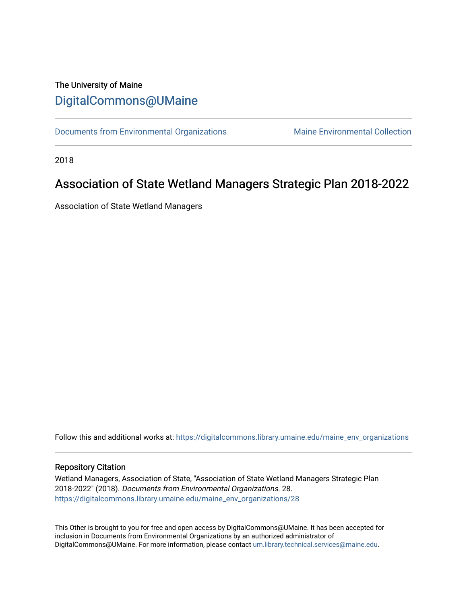# The University of Maine [DigitalCommons@UMaine](https://digitalcommons.library.umaine.edu/)

[Documents from Environmental Organizations](https://digitalcommons.library.umaine.edu/maine_env_organizations) Maine Environmental Collection

2018

# Association of State Wetland Managers Strategic Plan 2018-2022

Association of State Wetland Managers

Follow this and additional works at: [https://digitalcommons.library.umaine.edu/maine\\_env\\_organizations](https://digitalcommons.library.umaine.edu/maine_env_organizations?utm_source=digitalcommons.library.umaine.edu%2Fmaine_env_organizations%2F28&utm_medium=PDF&utm_campaign=PDFCoverPages)

#### Repository Citation

Wetland Managers, Association of State, "Association of State Wetland Managers Strategic Plan 2018-2022" (2018). Documents from Environmental Organizations. 28. [https://digitalcommons.library.umaine.edu/maine\\_env\\_organizations/28](https://digitalcommons.library.umaine.edu/maine_env_organizations/28?utm_source=digitalcommons.library.umaine.edu%2Fmaine_env_organizations%2F28&utm_medium=PDF&utm_campaign=PDFCoverPages) 

This Other is brought to you for free and open access by DigitalCommons@UMaine. It has been accepted for inclusion in Documents from Environmental Organizations by an authorized administrator of DigitalCommons@UMaine. For more information, please contact [um.library.technical.services@maine.edu](mailto:um.library.technical.services@maine.edu).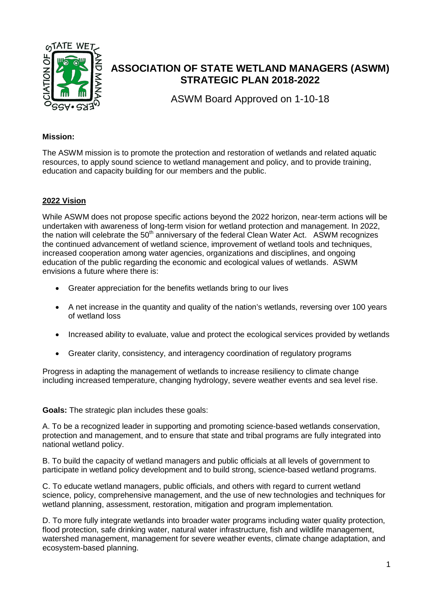

# **ASSOCIATION OF STATE WETLAND MANAGERS (ASWM) STRATEGIC PLAN 2018-2022**

ASWM Board Approved on 1-10-18

#### **Mission:**

The ASWM mission is to promote the protection and restoration of wetlands and related aquatic resources, to apply sound science to wetland management and policy, and to provide training, education and capacity building for our members and the public.

## **2022 Vision**

While ASWM does not propose specific actions beyond the 2022 horizon, near-term actions will be undertaken with awareness of long-term vision for wetland protection and management. In 2022, the nation will celebrate the  $50<sup>th</sup>$  anniversary of the federal Clean Water Act. ASWM recognizes the continued advancement of wetland science, improvement of wetland tools and techniques, increased cooperation among water agencies, organizations and disciplines, and ongoing education of the public regarding the economic and ecological values of wetlands. ASWM envisions a future where there is:

- Greater appreciation for the benefits wetlands bring to our lives
- A net increase in the quantity and quality of the nation's wetlands, reversing over 100 years of wetland loss
- Increased ability to evaluate, value and protect the ecological services provided by wetlands
- Greater clarity, consistency, and interagency coordination of regulatory programs

Progress in adapting the management of wetlands to increase resiliency to climate change including increased temperature, changing hydrology, severe weather events and sea level rise.

**Goals:** The strategic plan includes these goals:

A. To be a recognized leader in supporting and promoting science-based wetlands conservation, protection and management, and to ensure that state and tribal programs are fully integrated into national wetland policy.

B. To build the capacity of wetland managers and public officials at all levels of government to participate in wetland policy development and to build strong, science-based wetland programs.

C. To educate wetland managers, public officials, and others with regard to current wetland science, policy, comprehensive management, and the use of new technologies and techniques for wetland planning, assessment, restoration, mitigation and program implementation*.*

D. To more fully integrate wetlands into broader water programs including water quality protection, flood protection, safe drinking water, natural water infrastructure, fish and wildlife management, watershed management, management for severe weather events, climate change adaptation, and ecosystem-based planning.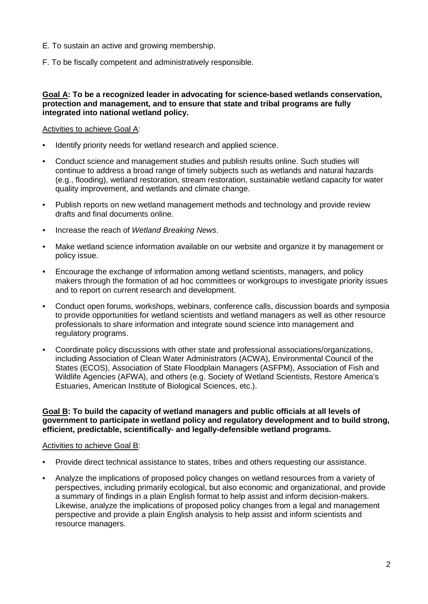- E. To sustain an active and growing membership.
- F. To be fiscally competent and administratively responsible.

#### **Goal A: To be a recognized leader in advocating for science-based wetlands conservation, protection and management, and to ensure that state and tribal programs are fully integrated into national wetland policy.**

### Activities to achieve Goal A:

- Identify priority needs for wetland research and applied science.
- Conduct science and management studies and publish results online. Such studies will continue to address a broad range of timely subjects such as wetlands and natural hazards (e.g., flooding), wetland restoration, stream restoration, sustainable wetland capacity for water quality improvement, and wetlands and climate change.
- Publish reports on new wetland management methods and technology and provide review drafts and final documents online.
- Increase the reach of *Wetland Breaking News*.
- Make wetland science information available on our website and organize it by management or policy issue.
- Encourage the exchange of information among wetland scientists, managers, and policy makers through the formation of ad hoc committees or workgroups to investigate priority issues and to report on current research and development.
- Conduct open forums, workshops, webinars, conference calls, discussion boards and symposia to provide opportunities for wetland scientists and wetland managers as well as other resource professionals to share information and integrate sound science into management and regulatory programs.
- Coordinate policy discussions with other state and professional associations/organizations, including Association of Clean Water Administrators (ACWA), Environmental Council of the States (ECOS), Association of State Floodplain Managers (ASFPM), Association of Fish and Wildlife Agencies (AFWA), and others (e.g. Society of Wetland Scientists, Restore America's Estuaries, American Institute of Biological Sciences, etc.).

#### **Goal B: To build the capacity of wetland managers and public officials at all levels of government to participate in wetland policy and regulatory development and to build strong, efficient, predictable, scientifically- and legally-defensible wetland programs.**

#### Activities to achieve Goal B:

- Provide direct technical assistance to states, tribes and others requesting our assistance.
- Analyze the implications of proposed policy changes on wetland resources from a variety of perspectives, including primarily ecological, but also economic and organizational, and provide a summary of findings in a plain English format to help assist and inform decision-makers. Likewise, analyze the implications of proposed policy changes from a legal and management perspective and provide a plain English analysis to help assist and inform scientists and resource managers.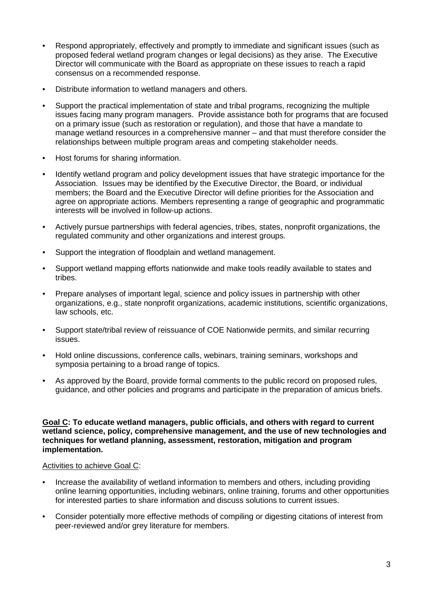- Respond appropriately, effectively and promptly to immediate and significant issues (such as proposed federal wetland program changes or legal decisions) as they arise. The Executive Director will communicate with the Board as appropriate on these issues to reach a rapid consensus on a recommended response.
- Distribute information to wetland managers and others.
- Support the practical implementation of state and tribal programs, recognizing the multiple issues facing many program managers. Provide assistance both for programs that are focused on a primary issue (such as restoration or regulation), and those that have a mandate to manage wetland resources in a comprehensive manner – and that must therefore consider the relationships between multiple program areas and competing stakeholder needs.
- Host forums for sharing information.
- Identify wetland program and policy development issues that have strategic importance for the Association. Issues may be identified by the Executive Director, the Board, or individual members; the Board and the Executive Director will define priorities for the Association and agree on appropriate actions. Members representing a range of geographic and programmatic interests will be involved in follow-up actions.
- Actively pursue partnerships with federal agencies, tribes, states, nonprofit organizations, the regulated community and other organizations and interest groups.
- Support the integration of floodplain and wetland management.
- Support wetland mapping efforts nationwide and make tools readily available to states and tribes.
- Prepare analyses of important legal, science and policy issues in partnership with other organizations, e.g., state nonprofit organizations, academic institutions, scientific organizations, law schools, etc.
- Support state/tribal review of reissuance of COE Nationwide permits, and similar recurring issues.
- Hold online discussions, conference calls, webinars, training seminars, workshops and symposia pertaining to a broad range of topics.
- As approved by the Board, provide formal comments to the public record on proposed rules, guidance, and other policies and programs and participate in the preparation of amicus briefs.

#### **Goal C: To educate wetland managers, public officials, and others with regard to current wetland science, policy, comprehensive management, and the use of new technologies and techniques for wetland planning, assessment, restoration, mitigation and program implementation.**

#### Activities to achieve Goal C:

- Increase the availability of wetland information to members and others, including providing online learning opportunities, including webinars, online training, forums and other opportunities for interested parties to share information and discuss solutions to current issues.
- Consider potentially more effective methods of compiling or digesting citations of interest from peer-reviewed and/or grey literature for members.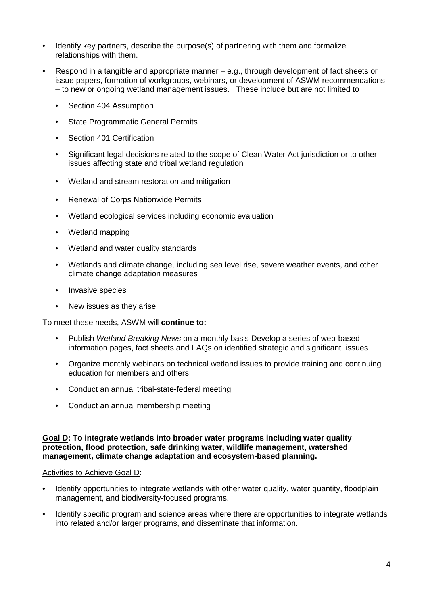- Identify key partners, describe the purpose(s) of partnering with them and formalize relationships with them.
- Respond in a tangible and appropriate manner e.g., through development of fact sheets or issue papers, formation of workgroups, webinars, or development of ASWM recommendations – to new or ongoing wetland management issues. These include but are not limited to
	- Section 404 Assumption
	- **State Programmatic General Permits**
	- Section 401 Certification
	- Significant legal decisions related to the scope of Clean Water Act jurisdiction or to other issues affecting state and tribal wetland regulation
	- Wetland and stream restoration and mitigation
	- Renewal of Corps Nationwide Permits
	- Wetland ecological services including economic evaluation
	- Wetland mapping
	- Wetland and water quality standards
	- Wetlands and climate change, including sea level rise, severe weather events, and other climate change adaptation measures
	- Invasive species
	- New issues as they arise

To meet these needs, ASWM will **continue to:**

- Publish *Wetland Breaking News* on a monthly basis Develop a series of web-based information pages, fact sheets and FAQs on identified strategic and significant issues
- Organize monthly webinars on technical wetland issues to provide training and continuing education for members and others
- Conduct an annual tribal-state-federal meeting
- Conduct an annual membership meeting

#### **Goal D: To integrate wetlands into broader water programs including water quality protection, flood protection, safe drinking water, wildlife management, watershed management, climate change adaptation and ecosystem-based planning.**

#### Activities to Achieve Goal D:

- Identify opportunities to integrate wetlands with other water quality, water quantity, floodplain management, and biodiversity-focused programs.
- Identify specific program and science areas where there are opportunities to integrate wetlands into related and/or larger programs, and disseminate that information.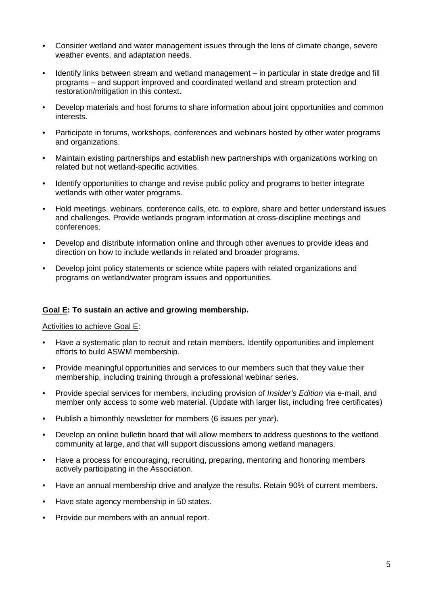- Consider wetland and water management issues through the lens of climate change, severe weather events, and adaptation needs.
- Identify links between stream and wetland management in particular in state dredge and fill programs – and support improved and coordinated wetland and stream protection and restoration/mitigation in this context.
- Develop materials and host forums to share information about joint opportunities and common interests.
- Participate in forums, workshops, conferences and webinars hosted by other water programs and organizations.
- Maintain existing partnerships and establish new partnerships with organizations working on related but not wetland-specific activities.
- Identify opportunities to change and revise public policy and programs to better integrate wetlands with other water programs.
- Hold meetings, webinars, conference calls, etc. to explore, share and better understand issues and challenges. Provide wetlands program information at cross-discipline meetings and conferences.
- Develop and distribute information online and through other avenues to provide ideas and direction on how to include wetlands in related and broader programs.
- Develop joint policy statements or science white papers with related organizations and programs on wetland/water program issues and opportunities.

#### **Goal E: To sustain an active and growing membership.**

#### Activities to achieve Goal E:

- Have a systematic plan to recruit and retain members. Identify opportunities and implement efforts to build ASWM membership.
- Provide meaningful opportunities and services to our members such that they value their membership, including training through a professional webinar series.
- Provide special services for members, including provision of *Insider's Edition* via e-mail, and member only access to some web material. (Update with larger list, including free certificates)
- Publish a bimonthly newsletter for members (6 issues per year).
- Develop an online bulletin board that will allow members to address questions to the wetland community at large, and that will support discussions among wetland managers.
- Have a process for encouraging, recruiting, preparing, mentoring and honoring members actively participating in the Association.
- Have an annual membership drive and analyze the results. Retain 90% of current members.
- Have state agency membership in 50 states.
- Provide our members with an annual report.